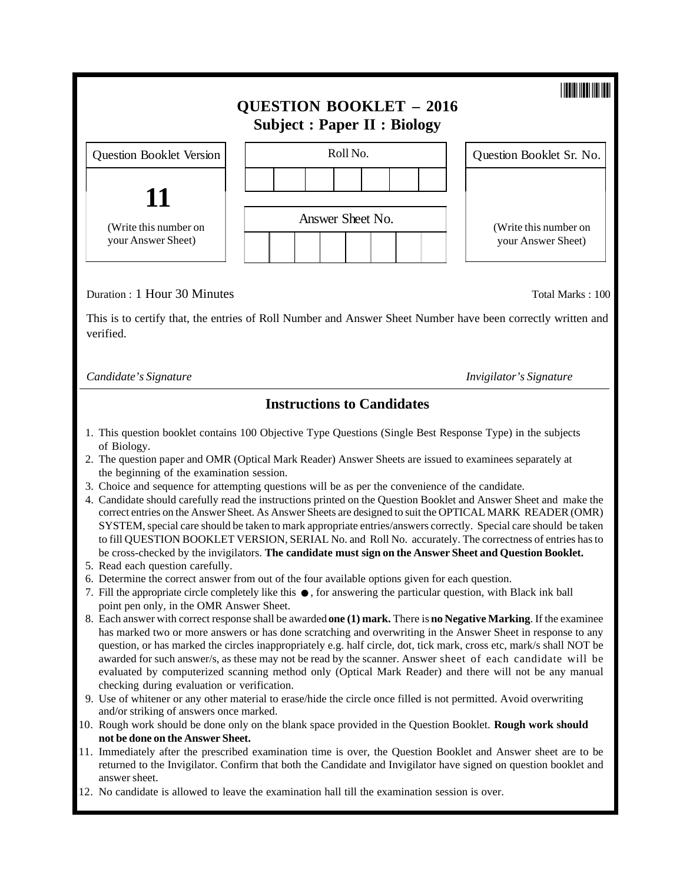|                                                                                                                                                                              | <b>QUESTION BOOKLET - 2016</b><br><b>Subject: Paper II: Biology</b> |          |                                             |  |                          |
|------------------------------------------------------------------------------------------------------------------------------------------------------------------------------|---------------------------------------------------------------------|----------|---------------------------------------------|--|--------------------------|
| <b>Question Booklet Version</b>                                                                                                                                              |                                                                     | Roll No. |                                             |  | Question Booklet Sr. No. |
| 11<br>(Write this number on<br>your Answer Sheet)                                                                                                                            | Answer Sheet No.                                                    |          | (Write this number on<br>your Answer Sheet) |  |                          |
| Duration : 1 Hour 30 Minutes<br>Total Marks: 100<br>This is to certify that, the entries of Roll Number and Answer Sheet Number have been correctly written and<br>verified. |                                                                     |          |                                             |  |                          |
| Candidate's Signature                                                                                                                                                        |                                                                     |          |                                             |  | Invigilator's Signature  |

### **Instructions to Candidates**

- 1. This question booklet contains 100 Objective Type Questions (Single Best Response Type) in the subjects of Biology.
- 2. The question paper and OMR (Optical Mark Reader) Answer Sheets are issued to examinees separately at the beginning of the examination session.
- 3. Choice and sequence for attempting questions will be as per the convenience of the candidate.
- 4. Candidate should carefully read the instructions printed on the Question Booklet and Answer Sheet and make the correct entries on the Answer Sheet. As Answer Sheets are designed to suit the OPTICAL MARK READER (OMR) SYSTEM, special care should be taken to mark appropriate entries/answers correctly. Special care should be taken to fill QUESTION BOOKLET VERSION, SERIAL No. and Roll No. accurately. The correctness of entries has to be cross-checked by the invigilators. **The candidate must sign on the Answer Sheet and Question Booklet.**
- 5. Read each question carefully.
- 6. Determine the correct answer from out of the four available options given for each question.
- 7. Fill the appropriate circle completely like this ●, for answering the particular question, with Black ink ball point pen only, in the OMR Answer Sheet. point pen only, in the OMR Answer Sheet.
- 8. Each answer with correct response shall be awarded **one (1) mark.** There is **no Negative Marking**. If the examinee has marked two or more answers or has done scratching and overwriting in the Answer Sheet in response to any question, or has marked the circles inappropriately e.g. half circle, dot, tick mark, cross etc, mark/s shall NOT be awarded for such answer/s, as these may not be read by the scanner. Answer sheet of each candidate will be evaluated by computerized scanning method only (Optical Mark Reader) and there will not be any manual checking during evaluation or verification.
- 9. Use of whitener or any other material to erase/hide the circle once filled is not permitted. Avoid overwriting and/or striking of answers once marked.
- 10. Rough work should be done only on the blank space provided in the Question Booklet. **Rough work should not be done on the Answer Sheet.**
- 11. Immediately after the prescribed examination time is over, the Question Booklet and Answer sheet are to be returned to the Invigilator. Confirm that both the Candidate and Invigilator have signed on question booklet and answer sheet.
- 12. No candidate is allowed to leave the examination hall till the examination session is over.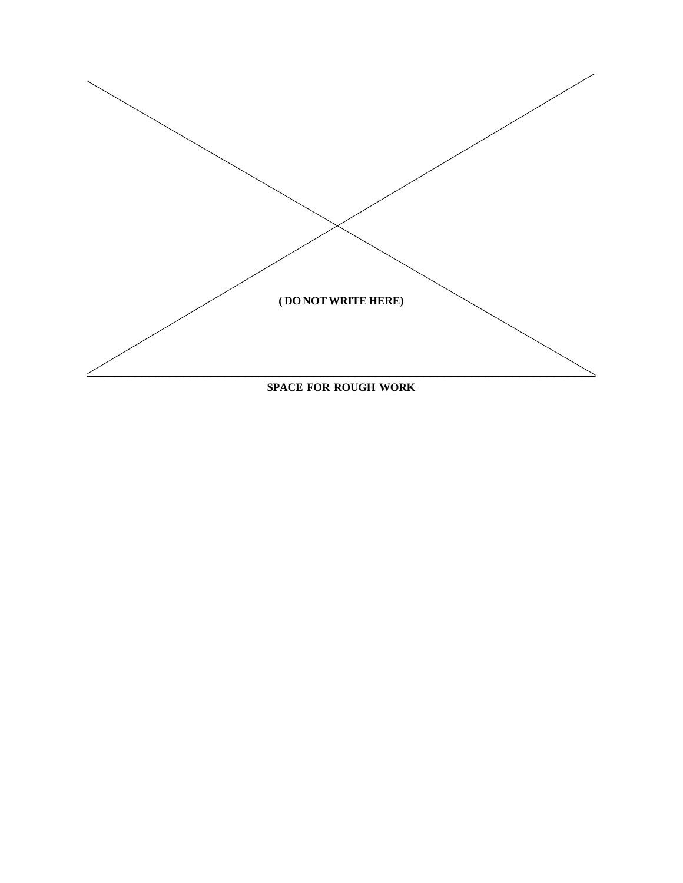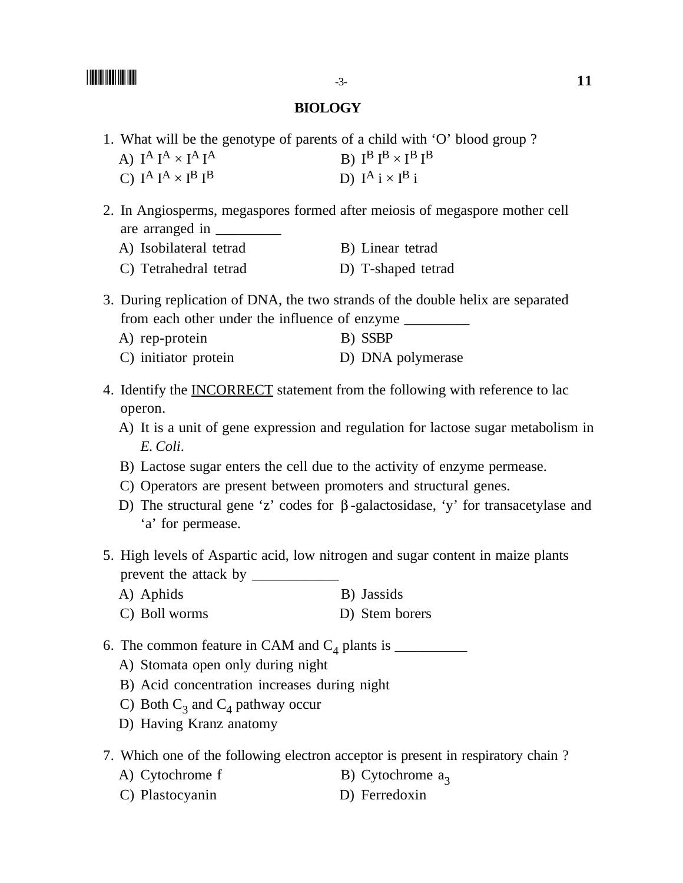#### **BIOLOGY**

- 1. What will be the genotype of parents of a child with 'O' blood group ?
	- A)  $I^A I^A \times I^A I^A$ B)  $I^B I^B \times I^B I^B$ C)  $I^A I^A \times I^B I^B$  D)  $I^A i \times I^B i$
- 2. In Angiosperms, megaspores formed after meiosis of megaspore mother cell are arranged in
	- A) Isobilateral tetrad B) Linear tetrad
	- C) Tetrahedral tetrad D) T-shaped tetrad

3. During replication of DNA, the two strands of the double helix are separated from each other under the influence of enzyme \_\_\_\_\_\_\_\_\_

- A) rep-protein B) SSBP
- C) initiator protein D) DNA polymerase
- 4. Identify the INCORRECT statement from the following with reference to lac operon.
	- A) It is a unit of gene expression and regulation for lactose sugar metabolism in *E. Coli*.
	- B) Lactose sugar enters the cell due to the activity of enzyme permease.
	- C) Operators are present between promoters and structural genes.
	- D) The structural gene 'z' codes for β -galactosidase, 'y' for transacetylase and 'a' for permease.
- 5. High levels of Aspartic acid, low nitrogen and sugar content in maize plants prevent the attack by \_\_\_\_\_\_\_\_\_\_\_\_
	- A) Aphids B) Jassids
	- C) Boll worms D) Stem borers
- 6. The common feature in CAM and C4 plants is \_\_\_\_\_\_\_\_\_\_
	- A) Stomata open only during night
	- B) Acid concentration increases during night
	- C) Both  $C_3$  and  $C_4$  pathway occur
	- D) Having Kranz anatomy
- 7. Which one of the following electron acceptor is present in respiratory chain ?
	- A) Cytochrome f B) Cytochrome  $a_3$
	- C) Plastocyanin D) Ferredoxin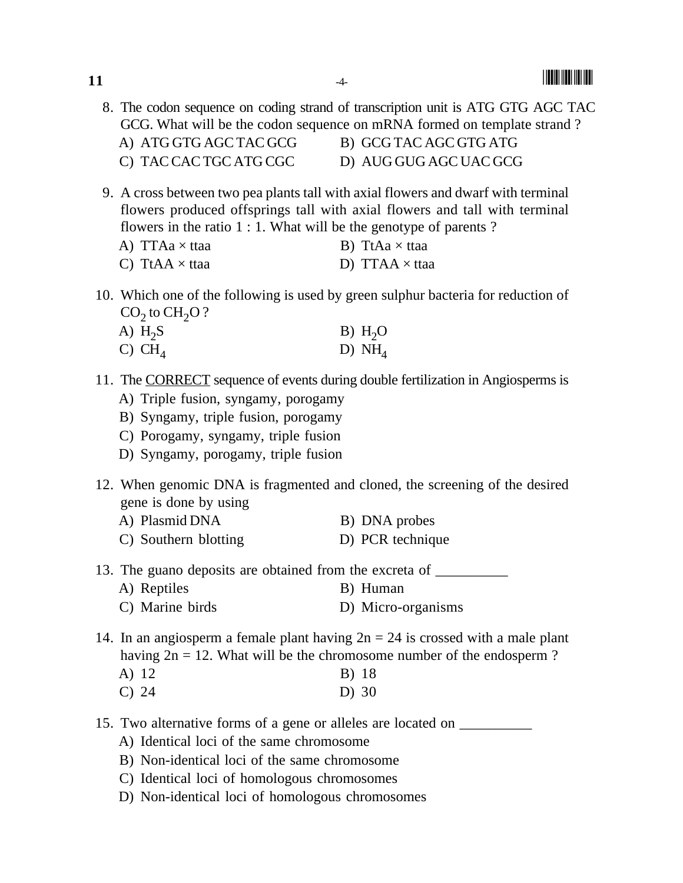8. The codon sequence on coding strand of transcription unit is ATG GTG AGC TAC GCG. What will be the codon sequence on mRNA formed on template strand ? A) ATG GTG AGC TAC GCG B) GCG TAC AGC GTG ATG C) TAC CAC TGC ATG CGC D) AUG GUG AGC UAC GCG

- 9. A cross between two pea plants tall with axial flowers and dwarf with terminal flowers produced offsprings tall with axial flowers and tall with terminal flowers in the ratio 1 : 1. What will be the genotype of parents ?
	- A) TTAa  $\times$  ttaa B) TtAa  $\times$  ttaa
	- C) TtAA  $\times$  ttaa D) TTAA  $\times$  ttaa
- 10. Which one of the following is used by green sulphur bacteria for reduction of  $CO<sub>2</sub>$  to  $CH<sub>2</sub>O$  ?<br>A)  $H<sub>2</sub>S$ 
	- A)  $H_2S$  B)  $H_2O$ <br>C) CH<sub>A</sub> D) NH<sub>A</sub>
	- D)  $NH<sub>4</sub>$
- 11. The CORRECT sequence of events during double fertilization in Angiosperms is
	- A) Triple fusion, syngamy, porogamy
	- B) Syngamy, triple fusion, porogamy
	- C) Porogamy, syngamy, triple fusion
	- D) Syngamy, porogamy, triple fusion
- 12. When genomic DNA is fragmented and cloned, the screening of the desired gene is done by using
	- A) Plasmid DNA B) DNA probes
	- C) Southern blotting D) PCR technique
- 13. The guano deposits are obtained from the excreta of
	- A) Reptiles B) Human
	- C) Marine birds D) Micro-organisms
- 14. In an angiosperm a female plant having  $2n = 24$  is crossed with a male plant having  $2n = 12$ . What will be the chromosome number of the endosperm ?
	- A) 12 B) 18 C) 24 D) 30
- 15. Two alternative forms of a gene or alleles are located on \_\_\_\_\_\_\_\_\_\_
	- A) Identical loci of the same chromosome
	- B) Non-identical loci of the same chromosome
	- C) Identical loci of homologous chromosomes
	- D) Non-identical loci of homologous chromosomes

**11**  $\frac{4}{4}$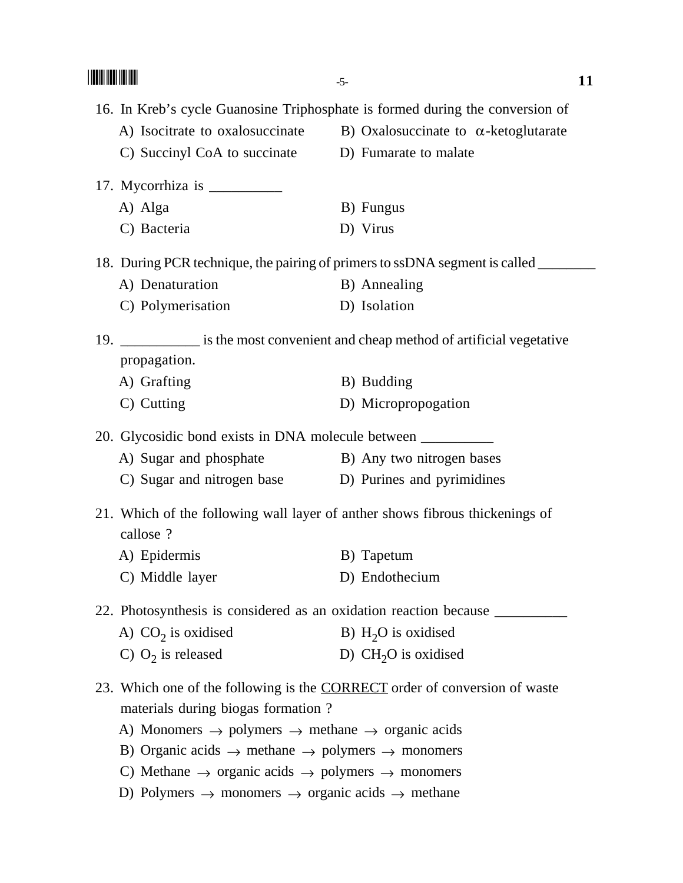|                                                                                                                                                                                                                                                                                                                                                                                                    | $-5-$                                                                                                                                                         | 11 |
|----------------------------------------------------------------------------------------------------------------------------------------------------------------------------------------------------------------------------------------------------------------------------------------------------------------------------------------------------------------------------------------------------|---------------------------------------------------------------------------------------------------------------------------------------------------------------|----|
| C) Succinyl CoA to succinate D) Fumarate to malate                                                                                                                                                                                                                                                                                                                                                 | 16. In Kreb's cycle Guanosine Triphosphate is formed during the conversion of<br>A) Isocitrate to oxalosuccinate B) Oxalosuccinate to $\alpha$ -ketoglutarate |    |
| 17. Mycorrhiza is $\frac{1}{2}$<br>A) Alga<br>C) Bacteria                                                                                                                                                                                                                                                                                                                                          | B) Fungus<br>D) Virus                                                                                                                                         |    |
| A) Denaturation<br>C) Polymerisation                                                                                                                                                                                                                                                                                                                                                               | 18. During PCR technique, the pairing of primers to ssDNA segment is called ____<br>B) Annealing<br>D) Isolation                                              |    |
| propagation.<br>A) Grafting<br>C) Cutting                                                                                                                                                                                                                                                                                                                                                          | 19. _____________ is the most convenient and cheap method of artificial vegetative<br>B) Budding<br>D) Micropropogation                                       |    |
| 20. Glycosidic bond exists in DNA molecule between ______________________________<br>A) Sugar and phosphate B) Any two nitrogen bases<br>C) Sugar and nitrogen base D) Purines and pyrimidines                                                                                                                                                                                                     | 21. Which of the following wall layer of anther shows fibrous thickenings of                                                                                  |    |
| callose ?<br>A) Epidermis<br>C) Middle layer                                                                                                                                                                                                                                                                                                                                                       | B) Tapetum<br>D) Endothecium                                                                                                                                  |    |
| A) $CO2$ is oxidised<br>C) $O_2$ is released                                                                                                                                                                                                                                                                                                                                                       | B) $H2O$ is oxidised<br>D) $CH2O$ is oxidised                                                                                                                 |    |
| materials during biogas formation?<br>A) Monomers $\rightarrow$ polymers $\rightarrow$ methane $\rightarrow$ organic acids<br>B) Organic acids $\rightarrow$ methane $\rightarrow$ polymers $\rightarrow$ monomers<br>C) Methane $\rightarrow$ organic acids $\rightarrow$ polymers $\rightarrow$ monomers<br>D) Polymers $\rightarrow$ monomers $\rightarrow$ organic acids $\rightarrow$ methane | 23. Which one of the following is the <b>CORRECT</b> order of conversion of waste                                                                             |    |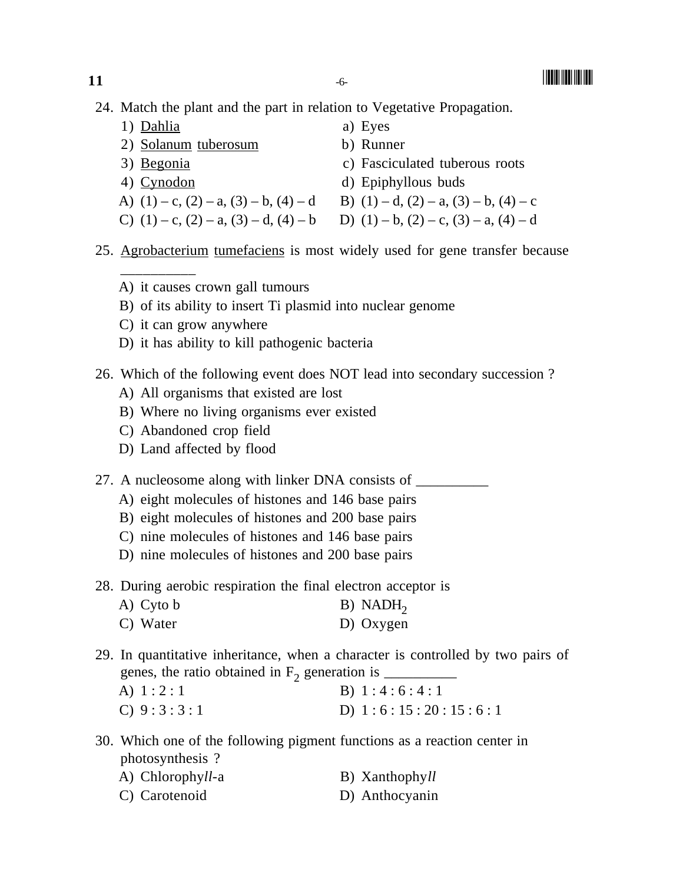-

24. Match the plant and the part in relation to Vegetative Propagation.

| 1) Dahlia                                        | a) Eyes                                          |
|--------------------------------------------------|--------------------------------------------------|
| 2) Solanum tuberosum                             | b) Runner                                        |
| 3) Begonia                                       | c) Fasciculated tuberous roots                   |
| 4) Cynodon                                       | d) Epiphyllous buds                              |
| A) $(1) - c$ , $(2) - a$ , $(3) - b$ , $(4) - d$ | B) $(1) - d$ , $(2) - a$ , $(3) - b$ , $(4) - c$ |
| C) $(1) - c$ , $(2) - a$ , $(3) - d$ , $(4) - b$ | D) $(1) - b$ , $(2) - c$ , $(3) - a$ , $(4) - d$ |
|                                                  |                                                  |

- 25. Agrobacterium tumefaciens is most widely used for gene transfer because
	- A) it causes crown gall tumours
	- B) of its ability to insert Ti plasmid into nuclear genome
	- C) it can grow anywhere

\_\_\_\_\_\_\_\_\_\_

- D) it has ability to kill pathogenic bacteria
- 26. Which of the following event does NOT lead into secondary succession ?
	- A) All organisms that existed are lost
	- B) Where no living organisms ever existed
	- C) Abandoned crop field
	- D) Land affected by flood
- 27. A nucleosome along with linker DNA consists of \_\_\_\_\_\_\_\_\_\_\_\_\_\_\_\_\_\_\_\_\_\_\_\_\_\_\_\_\_\_
	- A) eight molecules of histones and 146 base pairs
	- B) eight molecules of histones and 200 base pairs
	- C) nine molecules of histones and 146 base pairs
	- D) nine molecules of histones and 200 base pairs
- 28. During aerobic respiration the final electron acceptor is

| A) Cyto b | $B)$ NADH <sub>2</sub> |
|-----------|------------------------|
| C) Water  | D) Oxygen              |

- 29. In quantitative inheritance, when a character is controlled by two pairs of
	- genes, the ratio obtained in  $F_2$  generation is  $\Box$ <br>A) 1 : 2 : 1 <br>B) 1 : 4 : 6 : 4 : 3 B)  $1 : 4 : 6 : 4 : 1$ C)  $9:3:3:1$  D)  $1:6:15:20:15:6:1$
- 30. Which one of the following pigment functions as a reaction center in photosynthesis ?

| A) Chlorophyll-a | B) Xanthophyll |
|------------------|----------------|
| C) Carotenoid    | D) Anthocyanin |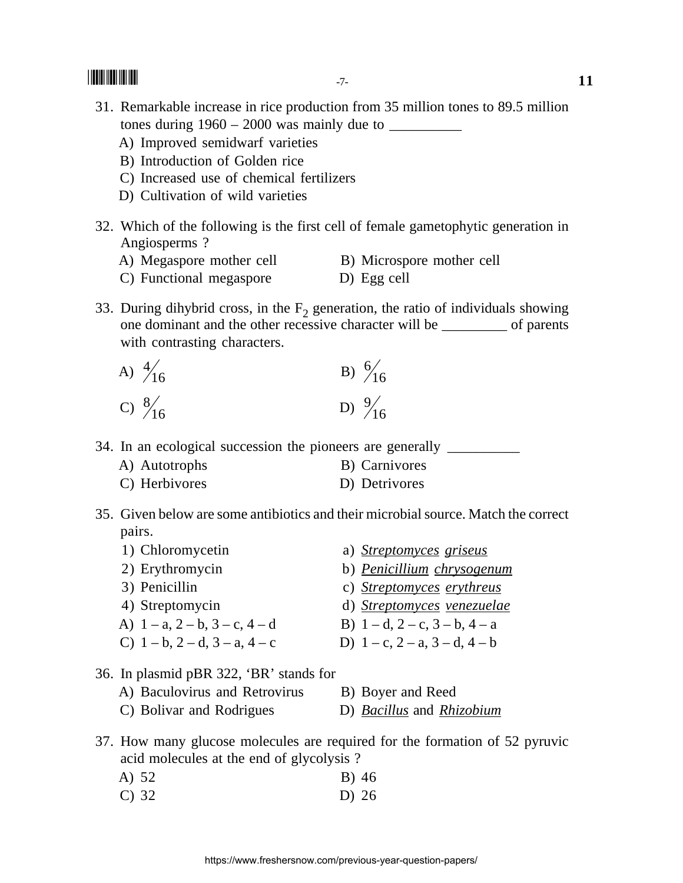- 31. Remarkable increase in rice production from 35 million tones to 89.5 million tones during 1960 – 2000 was mainly due to \_\_\_\_\_\_\_\_\_\_
	- A) Improved semidwarf varieties
	- B) Introduction of Golden rice
	- C) Increased use of chemical fertilizers
	- D) Cultivation of wild varieties
- 32. Which of the following is the first cell of female gametophytic generation in Angiosperms ?
	- A) Megaspore mother cell B) Microspore mother cell
	- C) Functional megaspore D) Egg cell
- 33. During dihybrid cross, in the  $F<sub>2</sub>$  generation, the ratio of individuals showing one dominant and the other recessive character will be \_\_\_\_\_\_\_\_\_ of parents with contrasting characters.
	- A)  $\frac{4}{16}$  $^{4/}_{16}$  B)  $^{6/}_{16}$ C)  $\frac{8}{16}$  $\frac{8}{16}$  D)  $\frac{9}{16}$

34. In an ecological succession the pioneers are generally \_\_\_\_\_\_\_\_\_\_\_\_\_\_\_\_\_\_\_\_\_\_

- A) Autotrophs B) Carnivores
- C) Herbivores D) Detrivores
- 35. Given below are some antibiotics and their microbial source. Match the correct pairs.
	- 1) Chloromycetin a) *Streptomyces griseus* 2) Erythromycin b) *Penicillium chrysogenum* 3) Penicillin c) *Streptomyces erythreus* 4) Streptomycin d) *Streptomyces venezuelae* A)  $1 - a$ ,  $2 - b$ ,  $3 - c$ ,  $4 - d$  B)  $1 - d$ ,  $2 - c$ ,  $3 - b$ ,  $4 - a$ C)  $1-b$ ,  $2-d$ ,  $3-a$ ,  $4-c$  D)  $1-c$ ,  $2-a$ ,  $3-d$ ,  $4-b$
- 36. In plasmid pBR 322, 'BR' stands for
	- A) Baculovirus and Retrovirus B) Boyer and Reed
	- C) Bolivar and Rodrigues D) *Bacillus* and *Rhizobium*
- 37. How many glucose molecules are required for the formation of 52 pyruvic acid molecules at the end of glycolysis ?
	- A) 52 B) 46
	- C) 32 D) 26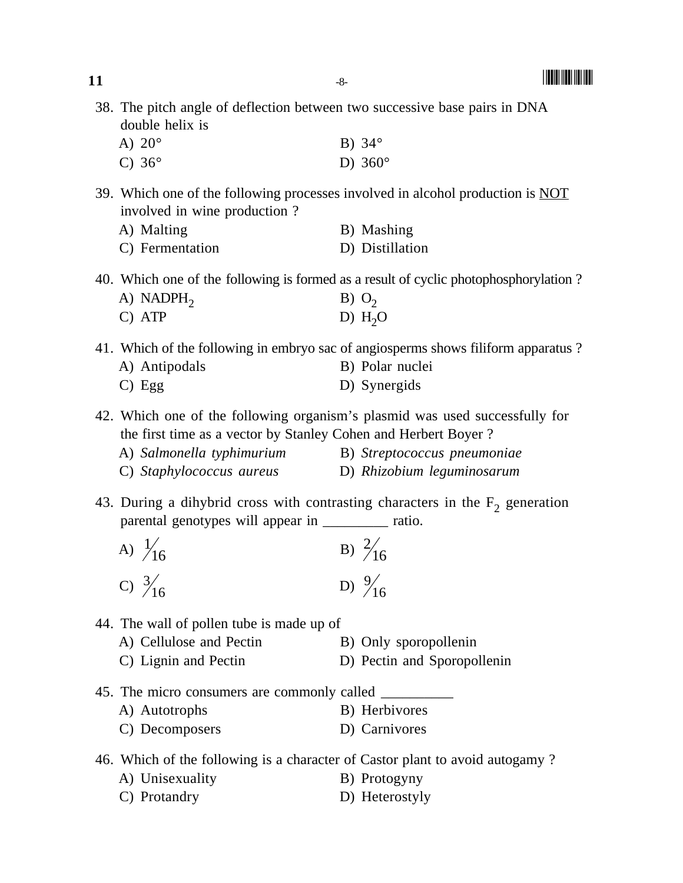| double helix is                                                 | 38. The pitch angle of deflection between two successive base pairs in DNA           |
|-----------------------------------------------------------------|--------------------------------------------------------------------------------------|
| A) $20^\circ$                                                   | B) $34^\circ$                                                                        |
| C) $36^\circ$                                                   | D) $360^\circ$                                                                       |
| involved in wine production?                                    | 39. Which one of the following processes involved in alcohol production is NOT       |
| A) Malting                                                      | B) Mashing                                                                           |
| C) Fermentation                                                 | D) Distillation                                                                      |
|                                                                 | 40. Which one of the following is formed as a result of cyclic photophosphorylation? |
| A) NADPH <sub>2</sub>                                           | $B)$ O <sub>2</sub>                                                                  |
| C) ATP                                                          | D) $H2O$                                                                             |
|                                                                 | 41. Which of the following in embryo sac of angiosperms shows filiform apparatus?    |
| A) Antipodals                                                   | B) Polar nuclei                                                                      |
| $C)$ Egg                                                        | D) Synergids                                                                         |
| the first time as a vector by Stanley Cohen and Herbert Boyer ? | 42. Which one of the following organism's plasmid was used successfully for          |
| A) Salmonella typhimurium B) Streptococcus pneumoniae           |                                                                                      |
| C) Staphylococcus aureus (D) Rhizobium leguminosarum            |                                                                                      |
| parental genotypes will appear in _________ ratio.              | 43. During a dihybrid cross with contrasting characters in the $F2$ generation       |
| A) $\frac{1}{16}$                                               | B) $\frac{2}{16}$<br>D) $\frac{9}{16}$                                               |
| C) $\frac{3}{16}$                                               |                                                                                      |
| 44. The wall of pollen tube is made up of                       |                                                                                      |
|                                                                 |                                                                                      |

- A) Cellulose and Pectin B) Only sporopollenin
- C) Lignin and Pectin D) Pectin and Sporopollenin
- 45. The micro consumers are commonly called \_\_\_\_\_\_\_\_\_\_ A) Autotrophs B) Herbivores C) Decomposers D) Carnivores
- 46. Which of the following is a character of Castor plant to avoid autogamy ?
	- A) Unisexuality B) Protogyny C) Protandry D) Heterostyly

**11**  $-8$ -  $\blacksquare$ 

-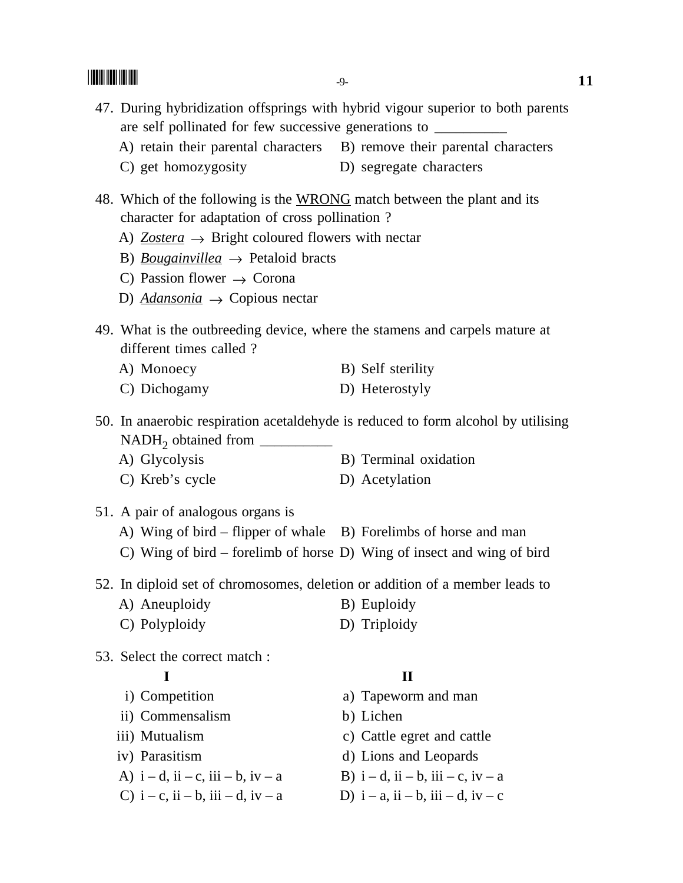- 47. During hybridization offsprings with hybrid vigour superior to both parents are self pollinated for few successive generations to \_\_\_\_\_\_\_\_\_\_\_\_\_\_\_\_\_\_\_\_\_\_\_\_\_\_\_
	- A) retain their parental characters B) remove their parental characters
	- C) get homozygosity D) segregate characters
- 48. Which of the following is the WRONG match between the plant and its character for adaptation of cross pollination ?
	- A)  $Zostera \rightarrow$  Bright coloured flowers with nectar
	- B) *Bougainvillea*  $\rightarrow$  Petaloid bracts
	- C) Passion flower  $\rightarrow$  Corona
	- D) *Adansonia* → Copious nectar
- 49. What is the outbreeding device, where the stamens and carpels mature at different times called ?
	- A) Monoecy B) Self sterility
	- C) Dichogamy D) Heterostyly

50. In anaerobic respiration acetaldehyde is reduced to form alcohol by utilising NADH<sub>2</sub> obtained from  $\Box$ <br>A) Glycolysis

- B) Terminal oxidation
- C) Kreb's cycle D) Acetylation
- 51. A pair of analogous organs is
	- A) Wing of bird flipper of whale B) Forelimbs of horse and man
	- C) Wing of bird forelimb of horse D) Wing of insect and wing of bird

52. In diploid set of chromosomes, deletion or addition of a member leads to

- A) Aneuploidy B) Euploidy
- C) Polyploidy D) Triploidy
- 53. Select the correct match :

- 
- ii) Commensalism b) Lichen
- 
- 
- A)  $i d$ ,  $ii c$ ,  $iii b$ ,  $iv a$  B)  $i d$ ,  $ii b$ ,  $iii c$ ,  $iv a$
- C)  $i c$ ,  $ii b$ ,  $iii d$ ,  $iv a$  D)  $i a$ ,  $ii b$ ,  $iii d$ ,  $iv c$

#### **I II**

- i) Competition a) Tapeworm and man
	-
- iii) Mutualism c) Cattle egret and cattle
- iv) Parasitism d) Lions and Leopards
	-
	-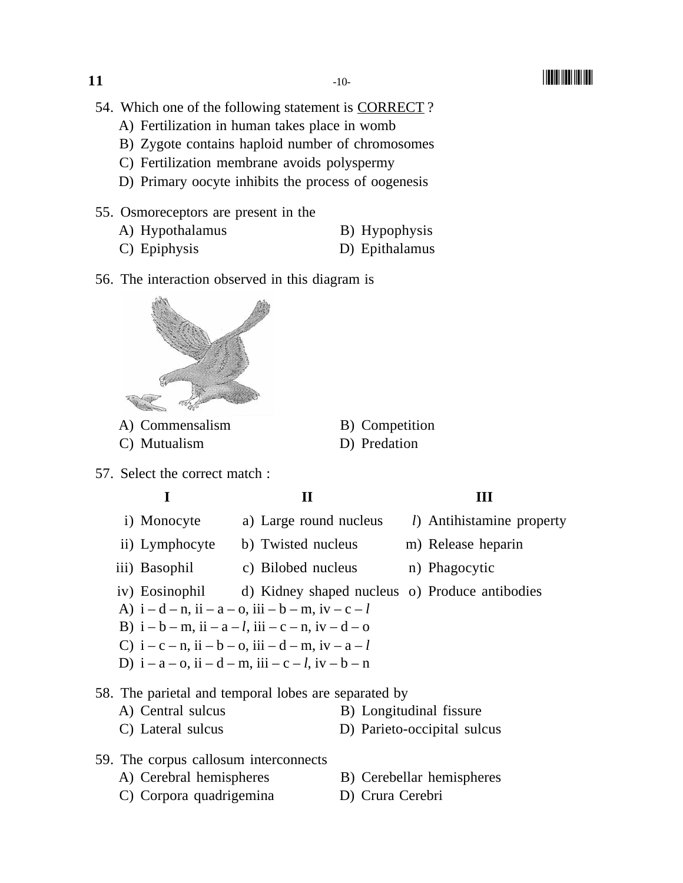- 54. Which one of the following statement is CORRECT ?
	- A) Fertilization in human takes place in womb
	- B) Zygote contains haploid number of chromosomes
	- C) Fertilization membrane avoids polyspermy
	- D) Primary oocyte inhibits the process of oogenesis
- 55. Osmoreceptors are present in the
	- A) Hypothalamus B) Hypophysis
	- C) Epiphysis D) Epithalamus
- 56. The interaction observed in this diagram is



- A) Commensalism B) Competition
- C) Mutualism D) Predation
- 
- 57. Select the correct match :

### **I** II III

- i) Monocyte a) Large round nucleus *l*) Antihistamine property ii) Lymphocyte b) Twisted nucleus m) Release heparin iii) Basophil c) Bilobed nucleus n) Phagocytic iv) Eosinophil d) Kidney shaped nucleus o) Produce antibodies A)  $i - d - n$ ,  $i i - a - o$ ,  $i i i - b - m$ ,  $i v - c - l$ B)  $i - b - m$ ,  $i i - a - l$ ,  $i i i - c - n$ ,  $i v - d - o$ C)  $i - c - n$ ,  $i i - b - o$ ,  $i i i - d - m$ ,  $i v - a - l$
- D)  $i a o$ ,  $i i d m$ ,  $i i i c l$ ,  $i v b n$

#### 58. The parietal and temporal lobes are separated by

- A) Central sulcus B) Longitudinal fissure
- C) Lateral sulcus D) Parieto-occipital sulcus
- 59. The corpus callosum interconnects
	- A) Cerebral hemispheres B) Cerebellar hemispheres
		-
	- C) Corpora quadrigemina D) Crura Cerebri
- 
- 
-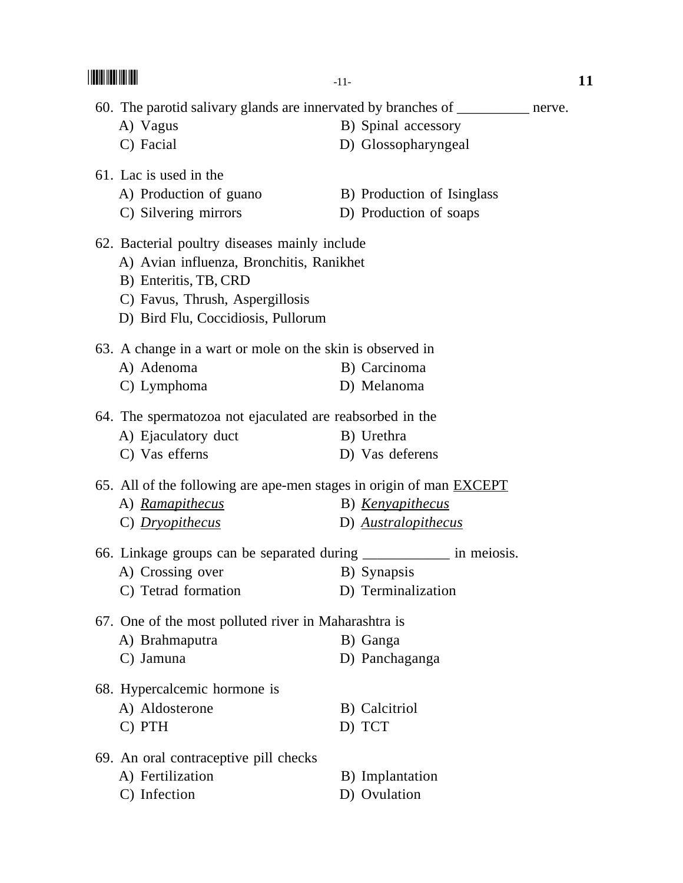|                                                                                                                                                                                             | $-11-$                                               | 11 |
|---------------------------------------------------------------------------------------------------------------------------------------------------------------------------------------------|------------------------------------------------------|----|
| 60. The parotid salivary glands are innervated by branches of _________ nerve.<br>A) Vagus<br>C) Facial                                                                                     | B) Spinal accessory<br>D) Glossopharyngeal           |    |
| 61. Lac is used in the<br>A) Production of guano<br>C) Silvering mirrors                                                                                                                    | B) Production of Isinglass<br>D) Production of soaps |    |
| 62. Bacterial poultry diseases mainly include<br>A) Avian influenza, Bronchitis, Ranikhet<br>B) Enteritis, TB, CRD<br>C) Favus, Thrush, Aspergillosis<br>D) Bird Flu, Coccidiosis, Pullorum |                                                      |    |
| 63. A change in a wart or mole on the skin is observed in<br>A) Adenoma<br>C) Lymphoma                                                                                                      | B) Carcinoma<br>D) Melanoma                          |    |
| 64. The spermatozoa not ejaculated are reabsorbed in the<br>A) Ejaculatory duct<br>C) Vas efferns                                                                                           | B) Urethra<br>D) Vas deferens                        |    |
| 65. All of the following are ape-men stages in origin of man <b>EXCEPT</b><br>A) Ramapithecus<br>C) Dryopithecus                                                                            | B) <u>Kenyapithecus</u><br>D) Australopithecus       |    |
| 66. Linkage groups can be separated during ____________ in meiosis.<br>A) Crossing over<br>C) Tetrad formation                                                                              | B) Synapsis<br>D) Terminalization                    |    |
| 67. One of the most polluted river in Maharashtra is<br>A) Brahmaputra<br>C) Jamuna                                                                                                         | B) Ganga<br>D) Panchaganga                           |    |
| 68. Hypercalcemic hormone is<br>A) Aldosterone<br>C) PTH                                                                                                                                    | B) Calcitriol<br>D) TCT                              |    |
| 69. An oral contraceptive pill checks<br>A) Fertilization<br>C) Infection                                                                                                                   | B) Implantation<br>D) Ovulation                      |    |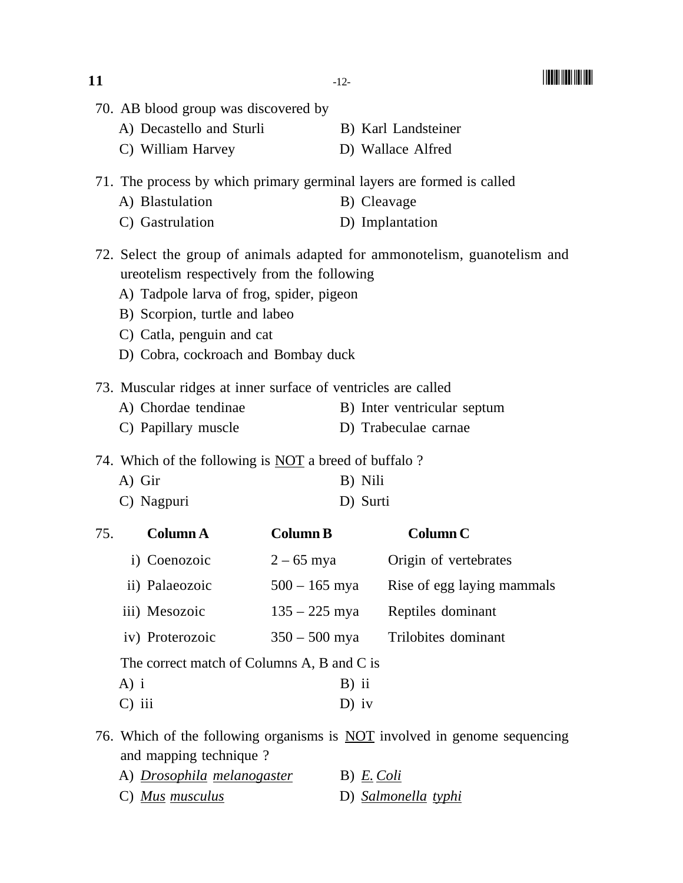|     | A) Decastello and Sturli                                      |                 | B) Karl Landsteiner                                                              |
|-----|---------------------------------------------------------------|-----------------|----------------------------------------------------------------------------------|
|     | C) William Harvey                                             |                 | D) Wallace Alfred                                                                |
|     |                                                               |                 | 71. The process by which primary germinal layers are formed is called            |
|     | A) Blastulation                                               |                 | B) Cleavage                                                                      |
|     | C) Gastrulation                                               |                 | D) Implantation                                                                  |
|     | ureotelism respectively from the following                    |                 | 72. Select the group of animals adapted for ammonotelism, guanotelism and        |
|     | A) Tadpole larva of frog, spider, pigeon                      |                 |                                                                                  |
|     | B) Scorpion, turtle and labeo                                 |                 |                                                                                  |
|     | C) Catla, penguin and cat                                     |                 |                                                                                  |
|     | D) Cobra, cockroach and Bombay duck                           |                 |                                                                                  |
|     | 73. Muscular ridges at inner surface of ventricles are called |                 |                                                                                  |
|     | A) Chordae tendinae                                           |                 | B) Inter ventricular septum                                                      |
|     | C) Papillary muscle                                           |                 | D) Trabeculae carnae                                                             |
|     | 74. Which of the following is <b>NOT</b> a breed of buffalo?  |                 |                                                                                  |
|     | A) Gir                                                        |                 | B) Nili                                                                          |
|     | C) Nagpuri                                                    |                 | D) Surti                                                                         |
| 75. | <b>Column A</b>                                               | <b>Column B</b> | <b>Column C</b>                                                                  |
|     | i) Coenozoic                                                  | $2 - 65$ mya    | Origin of vertebrates                                                            |
|     | ii) Palaeozoic                                                | $500 - 165$ mya | Rise of egg laying mammals                                                       |
|     | iii) Mesozoic                                                 | $135 - 225$ mya | Reptiles dominant                                                                |
|     | iv) Proterozoic $350 - 500$ mya                               |                 | Trilobites dominant                                                              |
|     | The correct match of Columns A, B and C is                    |                 |                                                                                  |
|     | $A)$ i                                                        | $B)$ ii         |                                                                                  |
|     | $C$ ) iii                                                     | $D)$ iv         |                                                                                  |
|     | and mapping technique?                                        |                 | 76. Which of the following organisms is <b>NOT</b> involved in genome sequencing |

A) *Drosophila melanogaster* B) *E. Coli* C) *Mus musculus* D) *Salmonella typhi*

70. AB blood group was discovered by

-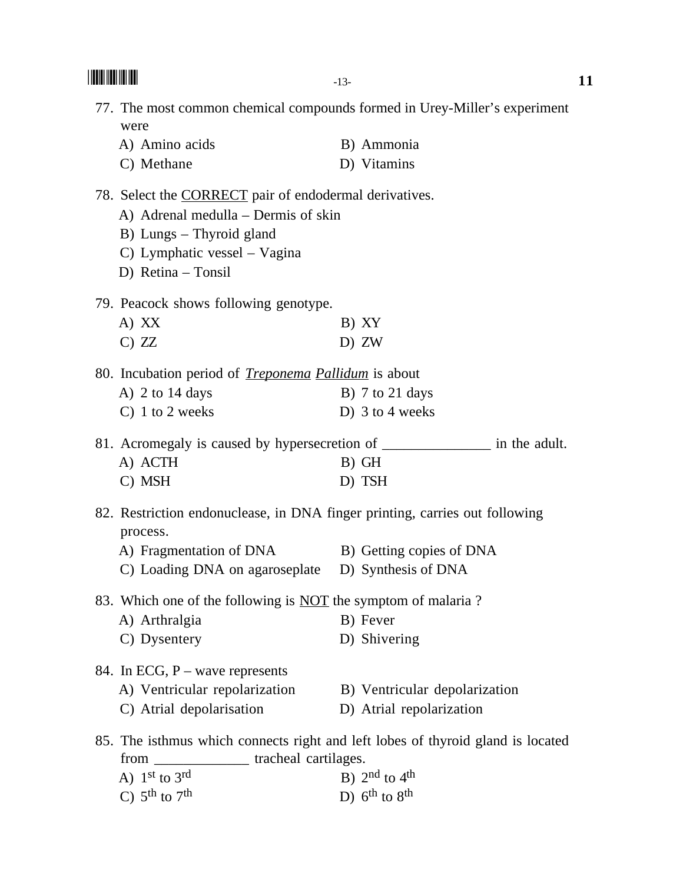-- $\blacksquare$  11 77. The most common chemical compounds formed in Urey-Miller's experiment were A) Amino acids B) Ammonia C) Methane D) Vitamins 78. Select the CORRECT pair of endodermal derivatives. A) Adrenal medulla – Dermis of skin B) Lungs – Thyroid gland C) Lymphatic vessel – Vagina D) Retina – Tonsil 79. Peacock shows following genotype. A)  $XX$  B)  $XY$ C) ZZ D) ZW 80. Incubation period of *Treponema Pallidum* is about A)  $2$  to  $14$  days B)  $7$  to  $21$  days C) 1 to 2 weeks D) 3 to 4 weeks 81. Acromegaly is caused by hypersecretion of \_\_\_\_\_\_\_\_\_\_\_\_\_\_\_\_\_ in the adult. A) ACTH B) GH C) MSH D) TSH 82. Restriction endonuclease, in DNA finger printing, carries out following process. A) Fragmentation of DNA B) Getting copies of DNA C) Loading DNA on agaroseplate D) Synthesis of DNA 83. Which one of the following is NOT the symptom of malaria ? A) Arthralgia B) Fever C) Dysentery D) Shivering 84. In ECG, P – wave represents A) Ventricular repolarization B) Ventricular depolarization C) Atrial depolarisation D) Atrial repolarization 85. The isthmus which connects right and left lobes of thyroid gland is located from \_\_\_\_\_\_\_\_\_\_\_\_\_ tracheal cartilages. A)  $1<sup>st</sup>$  to  $3<sup>rd</sup>$  B)  $2<sup>nd</sup>$  to  $4<sup>th</sup>$ C)  $5^{\text{th}}$  to  $7^{\text{th}}$  D)  $6^{\text{th}}$  to  $8^{\text{th}}$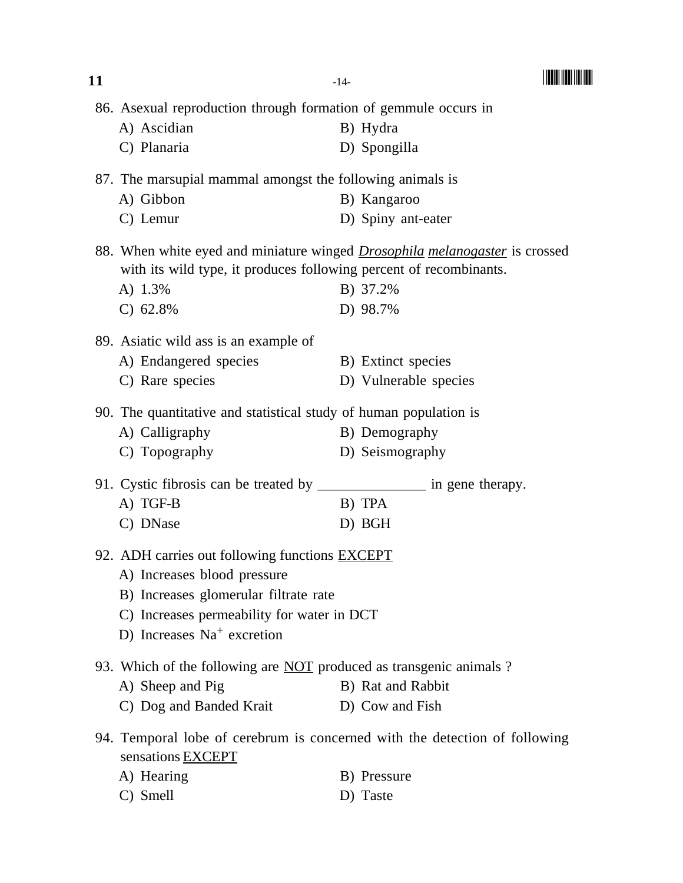| 11 |                                                                                                                                                                                                             | $-14-$ |                       |  |
|----|-------------------------------------------------------------------------------------------------------------------------------------------------------------------------------------------------------------|--------|-----------------------|--|
|    | 86. Asexual reproduction through formation of gemmule occurs in                                                                                                                                             |        |                       |  |
|    | A) Ascidian                                                                                                                                                                                                 |        | B) Hydra              |  |
|    | C) Planaria                                                                                                                                                                                                 |        | D) Spongilla          |  |
|    | 87. The marsupial mammal amongst the following animals is                                                                                                                                                   |        |                       |  |
|    | A) Gibbon                                                                                                                                                                                                   |        | B) Kangaroo           |  |
|    | C) Lemur                                                                                                                                                                                                    |        | D) Spiny ant-eater    |  |
|    | 88. When white eyed and miniature winged <i>Drosophila melanogaster</i> is crossed<br>with its wild type, it produces following percent of recombinants.                                                    |        |                       |  |
|    | A) 1.3%                                                                                                                                                                                                     |        | B) 37.2%              |  |
|    | $C)$ 62.8%                                                                                                                                                                                                  |        | D) 98.7%              |  |
|    | 89. Asiatic wild ass is an example of                                                                                                                                                                       |        |                       |  |
|    | A) Endangered species                                                                                                                                                                                       |        | B) Extinct species    |  |
|    | C) Rare species                                                                                                                                                                                             |        | D) Vulnerable species |  |
|    | 90. The quantitative and statistical study of human population is                                                                                                                                           |        |                       |  |
|    | A) Calligraphy                                                                                                                                                                                              |        | B) Demography         |  |
|    | C) Topography                                                                                                                                                                                               |        | D) Seismography       |  |
|    | 91. Cystic fibrosis can be treated by __________________ in gene therapy.                                                                                                                                   |        |                       |  |
|    | A) TGF-B                                                                                                                                                                                                    |        | B) TPA                |  |
|    | C) DNase                                                                                                                                                                                                    |        | D) BGH                |  |
|    | 92. ADH carries out following functions <b>EXCEPT</b><br>A) Increases blood pressure<br>B) Increases glomerular filtrate rate<br>C) Increases permeability for water in DCT<br>D) Increases $Na+$ excretion |        |                       |  |
|    | 93. Which of the following are <b>NOT</b> produced as transgenic animals?                                                                                                                                   |        |                       |  |
|    | A) Sheep and Pig                                                                                                                                                                                            |        | B) Rat and Rabbit     |  |
|    | C) Dog and Banded Krait                                                                                                                                                                                     |        | D) Cow and Fish       |  |
|    | 94. Temporal lobe of cerebrum is concerned with the detection of following<br>sensations EXCEPT                                                                                                             |        |                       |  |
|    | A) Hearing                                                                                                                                                                                                  |        | B) Pressure           |  |
|    | C) Smell                                                                                                                                                                                                    |        | D) Taste              |  |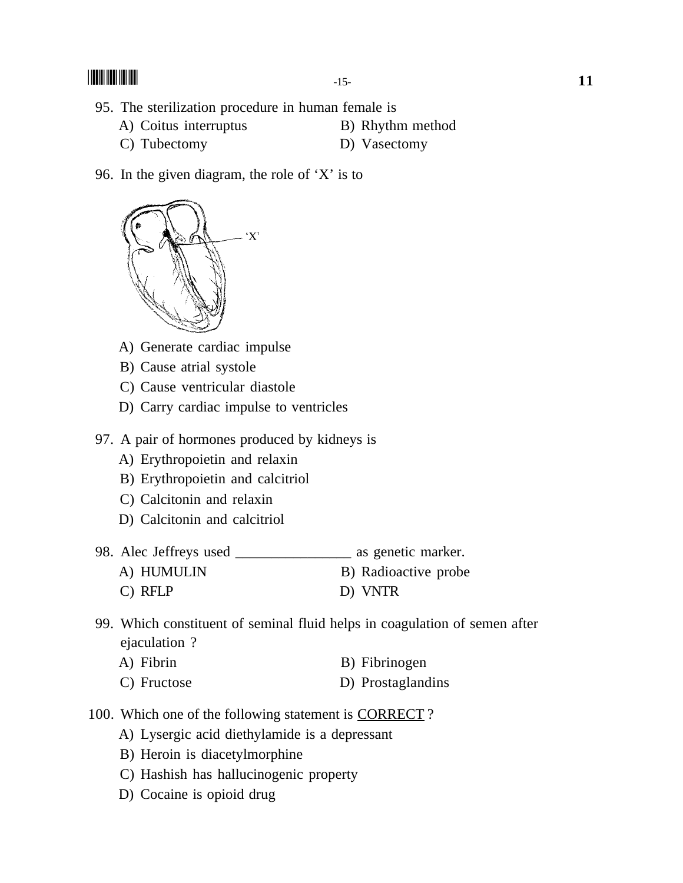- 95. The sterilization procedure in human female is
	- A) Coitus interruptus B) Rhythm method
	- C) Tubectomy D) Vasectomy
- 96. In the given diagram, the role of 'X' is to



- A) Generate cardiac impulse
- B) Cause atrial systole
- C) Cause ventricular diastole
- D) Carry cardiac impulse to ventricles
- 97. A pair of hormones produced by kidneys is
	- A) Erythropoietin and relaxin
	- B) Erythropoietin and calcitriol
	- C) Calcitonin and relaxin
	- D) Calcitonin and calcitriol

| 98. Alec Jeffreys used | as genetic marker.   |
|------------------------|----------------------|
| A) HUMULIN             | B) Radioactive probe |
| $C)$ RFLP              | D) VNTR              |

- 99. Which constituent of seminal fluid helps in coagulation of semen after ejaculation ?
	- A) Fibrin B) Fibrinogen
	- C) Fructose D) Prostaglandins
- 100. Which one of the following statement is CORRECT ?
	- A) Lysergic acid diethylamide is a depressant
	- B) Heroin is diacetylmorphine
	- C) Hashish has hallucinogenic property
	- D) Cocaine is opioid drug